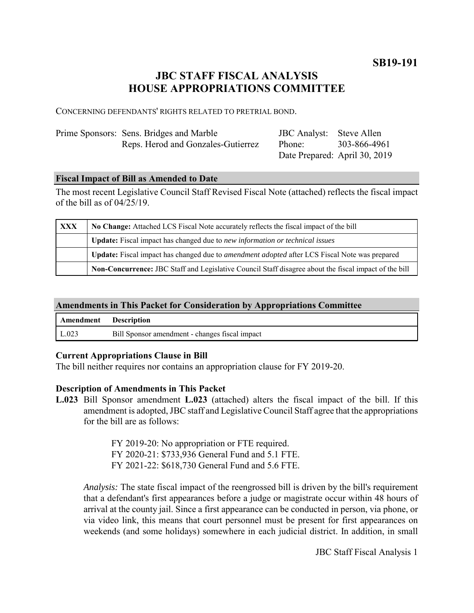**SB19-191**

# **JBC STAFF FISCAL ANALYSIS HOUSE APPROPRIATIONS COMMITTEE**

CONCERNING DEFENDANTS' RIGHTS RELATED TO PRETRIAL BOND.

| Prime Sponsors: Sens. Bridges and Marble | <b>JBC</b> Analyst: Steve Allen |              |
|------------------------------------------|---------------------------------|--------------|
| Reps. Herod and Gonzales-Gutierrez       | Phone:                          | 303-866-4961 |
|                                          | Date Prepared: April 30, 2019   |              |

#### **Fiscal Impact of Bill as Amended to Date**

The most recent Legislative Council Staff Revised Fiscal Note (attached) reflects the fiscal impact of the bill as of 04/25/19.

| <b>XXX</b> | No Change: Attached LCS Fiscal Note accurately reflects the fiscal impact of the bill                       |  |
|------------|-------------------------------------------------------------------------------------------------------------|--|
|            | Update: Fiscal impact has changed due to new information or technical issues                                |  |
|            | <b>Update:</b> Fiscal impact has changed due to <i>amendment adopted</i> after LCS Fiscal Note was prepared |  |
|            | Non-Concurrence: JBC Staff and Legislative Council Staff disagree about the fiscal impact of the bill       |  |

### **Amendments in This Packet for Consideration by Appropriations Committee**

| Amendment Description |                                                |
|-----------------------|------------------------------------------------|
| $\lfloor$ L.023       | Bill Sponsor amendment - changes fiscal impact |

#### **Current Appropriations Clause in Bill**

The bill neither requires nor contains an appropriation clause for FY 2019-20.

#### **Description of Amendments in This Packet**

**L.023** Bill Sponsor amendment **L.023** (attached) alters the fiscal impact of the bill. If this amendment is adopted, JBC staff and Legislative Council Staff agree that the appropriations for the bill are as follows:

> FY 2019-20: No appropriation or FTE required. FY 2020-21: \$733,936 General Fund and 5.1 FTE. FY 2021-22: \$618,730 General Fund and 5.6 FTE.

*Analysis:* The state fiscal impact of the reengrossed bill is driven by the bill's requirement that a defendant's first appearances before a judge or magistrate occur within 48 hours of arrival at the county jail. Since a first appearance can be conducted in person, via phone, or via video link, this means that court personnel must be present for first appearances on weekends (and some holidays) somewhere in each judicial district. In addition, in small

JBC Staff Fiscal Analysis 1